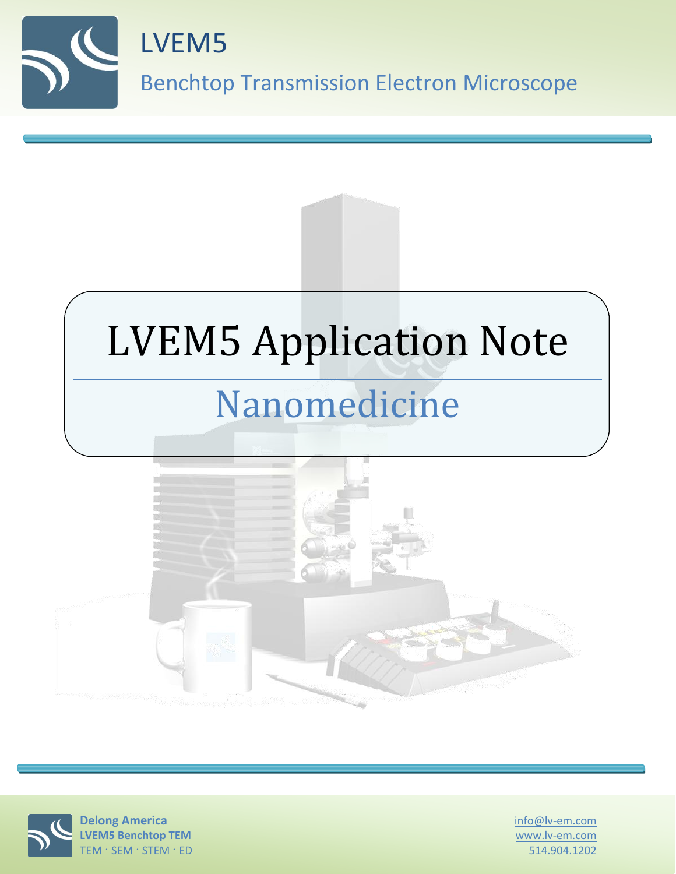





info@lv-em.com www.lv-em.com 514.904.1202

**Delong America LVEM5 Benchtop TEM** TEM · SEM · STEM · ED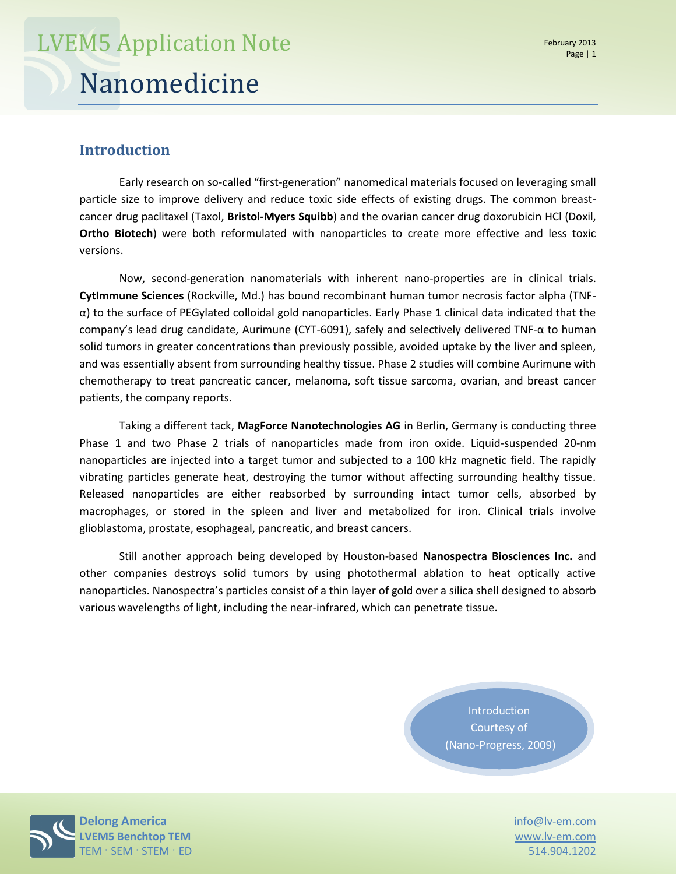### **Introduction**

Early research on so-called "first-generation" nanomedical materials focused on leveraging small particle size to improve delivery and reduce toxic side effects of existing drugs. The common breastcancer drug paclitaxel (Taxol, **Bristol-Myers Squibb**) and the ovarian cancer drug doxorubicin HCl (Doxil, **Ortho Biotech**) were both reformulated with nanoparticles to create more effective and less toxic versions.

Now, second-generation nanomaterials with inherent nano-properties are in clinical trials. **CytImmune Sciences** (Rockville, Md.) has bound recombinant human tumor necrosis factor alpha (TNFα) to the surface of PEGylated colloidal gold nanoparticles. Early Phase 1 clinical data indicated that the company's lead drug candidate, Aurimune (CYT-6091), safely and selectively delivered TNF-α to human solid tumors in greater concentrations than previously possible, avoided uptake by the liver and spleen, and was essentially absent from surrounding healthy tissue. Phase 2 studies will combine Aurimune with chemotherapy to treat pancreatic cancer, melanoma, soft tissue sarcoma, ovarian, and breast cancer patients, the company reports.

Taking a different tack, **MagForce Nanotechnologies AG** in Berlin, Germany is conducting three Phase 1 and two Phase 2 trials of nanoparticles made from iron oxide. Liquid-suspended 20-nm nanoparticles are injected into a target tumor and subjected to a 100 kHz magnetic field. The rapidly vibrating particles generate heat, destroying the tumor without affecting surrounding healthy tissue. Released nanoparticles are either reabsorbed by surrounding intact tumor cells, absorbed by macrophages, or stored in the spleen and liver and metabolized for iron. Clinical trials involve glioblastoma, prostate, esophageal, pancreatic, and breast cancers.

Still another approach being developed by Houston-based **Nanospectra Biosciences Inc.** and other companies destroys solid tumors by using photothermal ablation to heat optically active nanoparticles. Nanospectra's particles consist of a thin layer of gold over a silica shell designed to absorb various wavelengths of light, including the near-infrared, which can penetrate tissue.

> Introduction Courtesy of (Nano-Progress, 2009)

**Delong America** info@lv-em.com **LEM5 Benchtop TEM EMILIAR WWW.lv-em.com** TEM  $\cdot$  SEM  $\cdot$  STEM  $\cdot$  ED  $\cdot$  514.904.1202  $\cdot$  514.904.1202  $\cdot$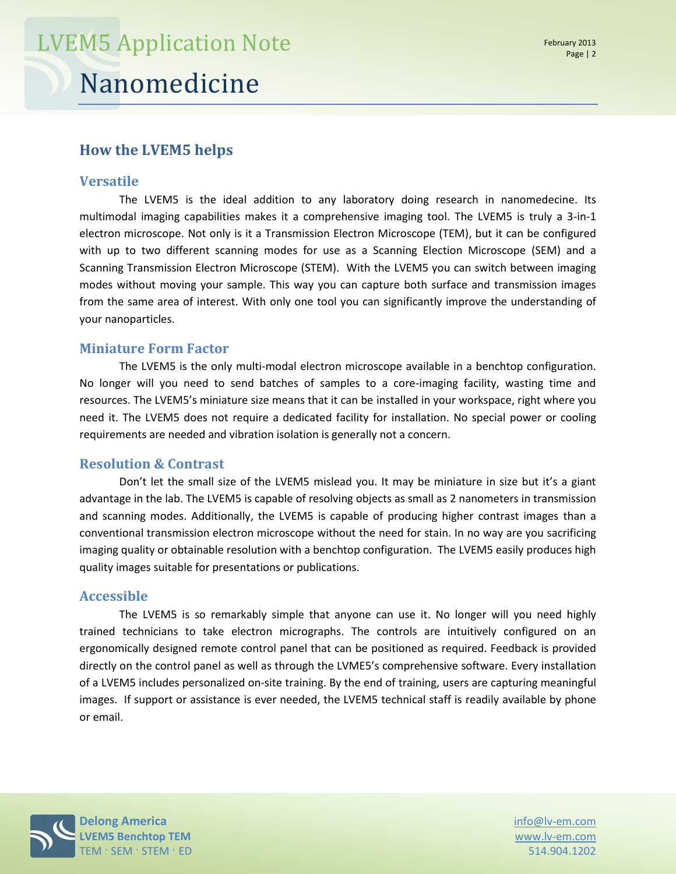### **How the LVEM5 helps**

#### **Versatile**

The LVEM5 is the ideal addition to any laboratory doing research in nanomedecine. Its multimodal imaging capabilities makes it a comprehensive imaging tool. The LVEM5 is truly a 3-in-1 electron microscope. Not only is it a Transmission Electron Microscope (TEM), but it can be configured with up to two different scanning modes for use as a Scanning Election Microscope (SEM) and a Scanning Transmission Electron Microscope (STEM). With the LVEM5 you can switch between imaging modes without moving your sample. This way you can capture both surface and transmission images from the same area of interest. With only one tool you can significantly improve the understanding of your nanoparticles.

#### **Miniature Form Factor**

The LVEM5 is the only multi-modal electron microscope available in a benchtop configuration. No longer will you need to send batches of samples to a core-imaging facility, wasting time and resources. The LVEM5's miniature size means that it can be installed in your workspace, right where you need it. The LVEM5 does not require a dedicated facility for installation. No special power or cooling requirements are needed and vibration isolation is generally not a concern.

#### **Resolution & Contrast**

Don't let the small size of the LVEM5 mislead you. It may be miniature in size but it's a giant advantage in the lab. The LVEM5 is capable of resolving objects as small as 2 nanometers in transmission and scanning modes. Additionally, the LVEM5 is capable of producing higher contrast images than a conventional transmission electron microscope without the need for stain. In no way are you sacrificing imaging quality or obtainable resolution with a benchtop configuration. The LVEM5 easily produces high quality images suitable for presentations or publications.

#### **Accessible**

The LVEM5 is so remarkably simple that anyone can use it. No longer will you need highly trained technicians to take electron micrographs. The controls are intuitively configured on an ergonomically designed remote control panel that can be positioned as required. Feedback is provided directly on the control panel as well as through the LVME5's comprehensive software. Every installation of a LVEM5 includes personalized on-site training. By the end of training, users are capturing meaningful images. If support or assistance is ever needed, the LVEM5 technical staff is readily available by phone or email.



www.lv-em.com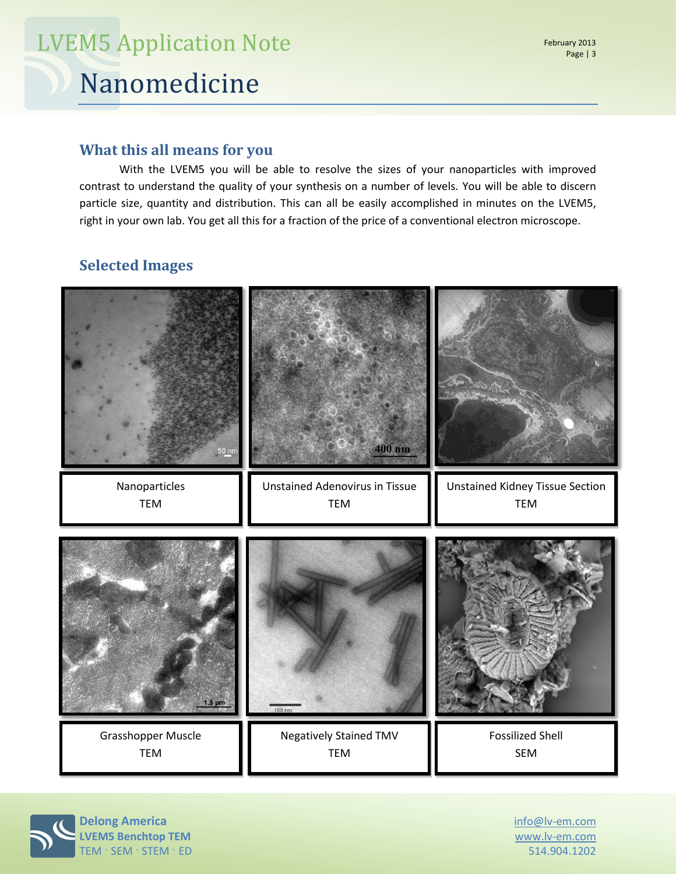# Nanomedicine LVEM5 Application Note

#### **What this all means for you**

With the LVEM5 you will be able to resolve the sizes of your nanoparticles with improved contrast to understand the quality of your synthesis on a number of levels. You will be able to discern particle size, quantity and distribution. This can all be easily accomplished in minutes on the LVEM5, right in your own lab. You get all this for a fraction of the price of a conventional electron microscope.

### **Selected Images**



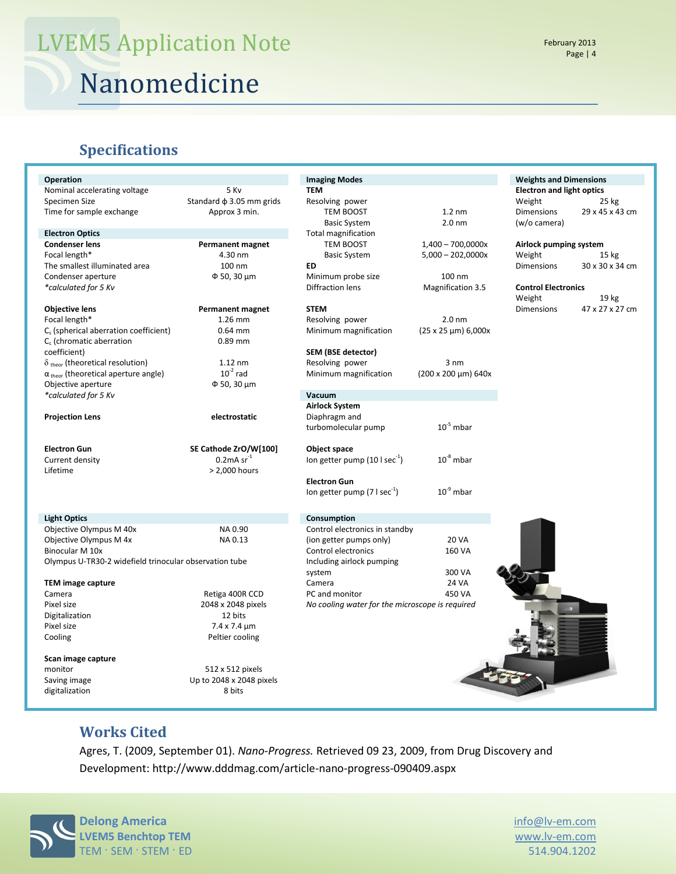# Nanomedicine LVEM5 Application Note

#### **Specifications**

| Operation                                              |                                    | <b>Imaging Modes</b>                            |                               | <b>Weights and Dimensions</b>    |                  |
|--------------------------------------------------------|------------------------------------|-------------------------------------------------|-------------------------------|----------------------------------|------------------|
| 5 Kv<br>Nominal accelerating voltage                   |                                    | <b>TEM</b>                                      |                               | <b>Electron and light optics</b> |                  |
| Specimen Size                                          | Standard $\phi$ 3.05 mm grids      | Resolving power                                 |                               | Weight                           | 25 kg            |
| Time for sample exchange                               | Approx 3 min.                      | TEM BOOST                                       | $1.2 \text{ nm}$              | <b>Dimensions</b>                | 29 x 45 x 43 cm  |
|                                                        |                                    | <b>Basic System</b>                             | 2.0 <sub>nm</sub>             | (w/o camera)                     |                  |
| <b>Electron Optics</b>                                 |                                    | <b>Total magnification</b>                      |                               |                                  |                  |
| <b>Condenser lens</b><br>Permanent magnet              |                                    | TEM BOOST                                       | $1,400 - 700,0000x$           | Airlock pumping system           |                  |
| Focal length*                                          | 4.30 nm                            | <b>Basic System</b>                             | $5,000 - 202,0000x$           | Weight                           | $15 \text{ kg}$  |
| The smallest illuminated area                          | 100 nm                             | ED                                              |                               | <b>Dimensions</b>                | 30 x 30 x 34 cm  |
| Condenser aperture                                     | $\Phi$ 50, 30 $\mu$ m              | Minimum probe size                              | 100 nm                        |                                  |                  |
| *calculated for 5 Kv                                   |                                    | <b>Diffraction lens</b>                         | <b>Magnification 3.5</b>      | <b>Control Electronics</b>       |                  |
|                                                        |                                    |                                                 |                               | Weight                           | 19 <sub>kg</sub> |
| <b>Objective lens</b>                                  | <b>Permanent magnet</b>            | <b>STEM</b>                                     |                               | <b>Dimensions</b>                | 47 x 27 x 27 cm  |
| Focal length*                                          | 1.26 mm                            | Resolving power                                 | 2.0 <sub>nm</sub>             |                                  |                  |
| C <sub>s</sub> (spherical aberration coefficient)      | $0.64$ mm                          | Minimum magnification                           | $(25 \times 25 \mu m) 6,000x$ |                                  |                  |
| $C_c$ (chromatic aberration                            | $0.89$ mm                          |                                                 |                               |                                  |                  |
| coefficient)                                           |                                    | SEM (BSE detector)                              |                               |                                  |                  |
| $\delta$ <sub>theor</sub> (theoretical resolution)     | $1.12$ nm                          | Resolving power                                 | $3 \text{ nm}$                |                                  |                  |
| $\alpha$ <sub>theor</sub> (theoretical aperture angle) | $10^{-2}$ rad                      | Minimum magnification                           | (200 x 200 µm) 640x           |                                  |                  |
| Objective aperture                                     | $\Phi$ 50, 30 µm                   |                                                 |                               |                                  |                  |
| *calculated for 5 Kv                                   |                                    | Vacuum                                          |                               |                                  |                  |
|                                                        |                                    | <b>Airlock System</b>                           |                               |                                  |                  |
| <b>Projection Lens</b>                                 | electrostatic                      | Diaphragm and                                   |                               |                                  |                  |
|                                                        |                                    | turbomolecular pump                             | $10^{-5}$ mbar                |                                  |                  |
|                                                        |                                    |                                                 |                               |                                  |                  |
|                                                        |                                    |                                                 |                               |                                  |                  |
| <b>Electron Gun</b>                                    | SE Cathode ZrO/W[100]              | Object space                                    |                               |                                  |                  |
| Current density                                        | $0.2$ mA sr $^{-1}$                | lon getter pump $(10 \mid \sec^{-1})$           | $10^{-8}$ mbar                |                                  |                  |
| Lifetime                                               | > 2,000 hours                      |                                                 |                               |                                  |                  |
|                                                        |                                    | <b>Electron Gun</b>                             |                               |                                  |                  |
|                                                        |                                    | lon getter pump $(7 \text{ l sec}^{-1})$        | $10^{-9}$ mbar                |                                  |                  |
| <b>Light Optics</b>                                    |                                    | Consumption                                     |                               |                                  |                  |
| Objective Olympus M 40x                                | NA 0.90                            | Control electronics in standby                  |                               |                                  |                  |
| Objective Olympus M 4x                                 | NA 0.13                            | (ion getter pumps only)                         | <b>20 VA</b>                  |                                  |                  |
| Binocular M 10x                                        |                                    | Control electronics                             | 160 VA                        |                                  |                  |
| Olympus U-TR30-2 widefield trinocular observation tube |                                    | Including airlock pumping                       |                               |                                  |                  |
|                                                        |                                    | system                                          | 300 VA                        |                                  |                  |
| <b>TEM image capture</b>                               |                                    | Camera                                          | 24 VA                         |                                  |                  |
| Camera                                                 | Retiga 400R CCD                    | PC and monitor                                  | 450 VA                        |                                  |                  |
| Pixel size                                             | 2048 x 2048 pixels                 | No cooling water for the microscope is required |                               |                                  |                  |
| Digitalization                                         | 12 bits                            |                                                 |                               |                                  |                  |
| Pixel size                                             | 7.4 x 7.4 µm                       |                                                 |                               |                                  |                  |
| Cooling                                                | Peltier cooling                    |                                                 |                               |                                  |                  |
|                                                        |                                    |                                                 |                               |                                  |                  |
| Scan image capture                                     |                                    |                                                 |                               |                                  |                  |
| monitor                                                | 512 x 512 pixels                   |                                                 |                               |                                  |                  |
| Saving image<br>digitalization                         | Up to 2048 x 2048 pixels<br>8 bits |                                                 |                               |                                  |                  |

### **Works Cited**

Agres, T. (2009, September 01). *Nano-Progress.* Retrieved 09 23, 2009, from Drug Discovery and Development: http://www.dddmag.com/article-nano-progress-090409.aspx